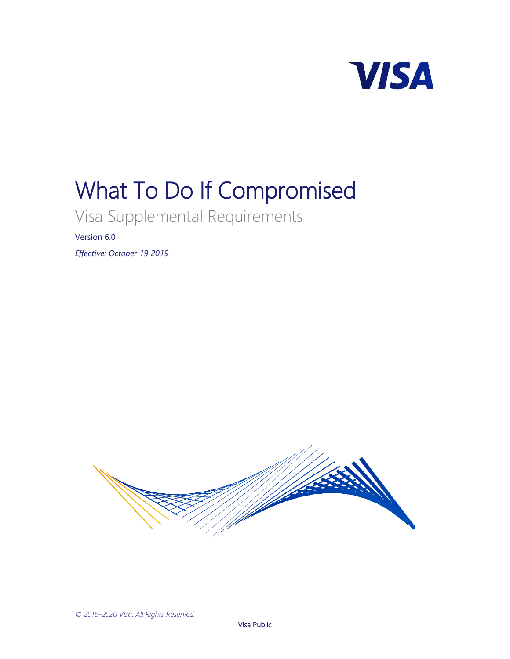

# What To Do If Compromised

Visa Supplemental Requirements

Version 6.0

*Effective: October 19 2019*

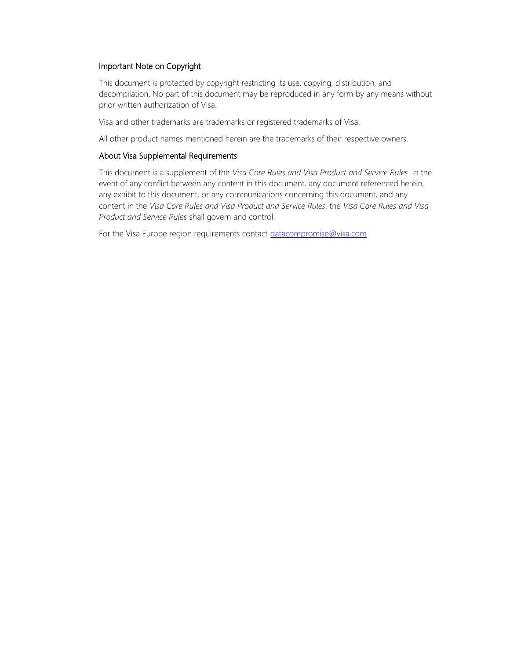#### Important Note on Copyright

This document is protected by copyright restricting its use, copying, distribution, and decompilation. No part of this document may be reproduced in any form by any means without prior written authorization of Visa.

Visa and other trademarks are trademarks or registered trademarks of Visa.

All other product names mentioned herein are the trademarks of their respective owners.

#### About Visa Supplemental Requirements

This document is a supplement of the *Visa Core Rules and Visa Product and Service Rules*. In the event of any conflict between any content in this document, any document referenced herein, any exhibit to this document, or any communications concerning this document, and any content in the *Visa Core Rules and Visa Product and Service Rules*, the *Visa Core Rules and Visa Product and Service Rules* shall govern and control.

For the Visa Europe region requirements contact [datacompromise@visa.com](mailto:datacompromise@visa.com?subject=Visa%20Europe%20Region%20Requirements)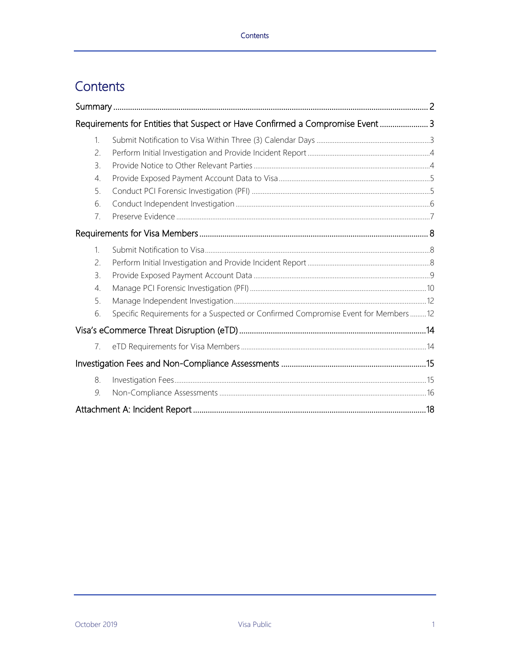# Contents

|                 | Requirements for Entities that Suspect or Have Confirmed a Compromise Event  3    |  |
|-----------------|-----------------------------------------------------------------------------------|--|
| 1.              |                                                                                   |  |
| 2.              |                                                                                   |  |
| $\mathcal{B}$ . |                                                                                   |  |
| 4.              |                                                                                   |  |
| 5.              |                                                                                   |  |
| 6.              |                                                                                   |  |
| 7.              |                                                                                   |  |
|                 |                                                                                   |  |
| $\mathbf{1}$ .  |                                                                                   |  |
| 2.              |                                                                                   |  |
| 3.              |                                                                                   |  |
| 4.              |                                                                                   |  |
| 5.              |                                                                                   |  |
| 6.              | Specific Requirements for a Suspected or Confirmed Compromise Event for Members12 |  |
|                 |                                                                                   |  |
| 7.              |                                                                                   |  |
|                 |                                                                                   |  |
| 8.              |                                                                                   |  |
| 9.              |                                                                                   |  |
|                 |                                                                                   |  |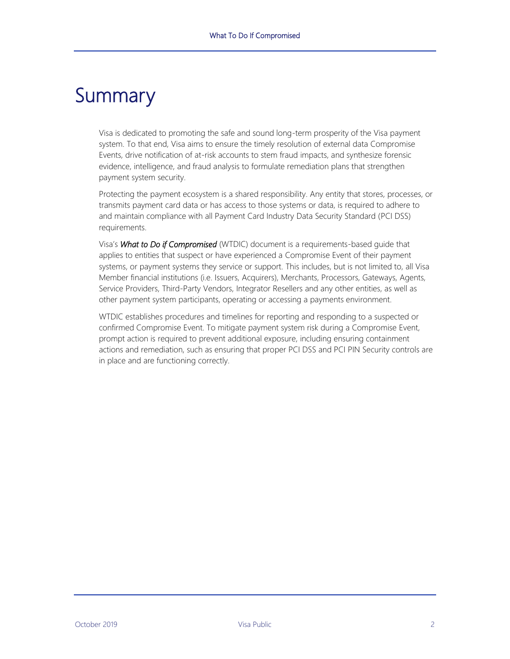# <span id="page-3-0"></span>**Summary**

Visa is dedicated to promoting the safe and sound long-term prosperity of the Visa payment system. To that end, Visa aims to ensure the timely resolution of external data Compromise Events, drive notification of at-risk accounts to stem fraud impacts, and synthesize forensic evidence, intelligence, and fraud analysis to formulate remediation plans that strengthen payment system security.

Protecting the payment ecosystem is a shared responsibility. Any entity that stores, processes, or transmits payment card data or has access to those systems or data, is required to adhere to and maintain compliance with all Payment Card Industry Data Security Standard (PCI DSS) requirements.

Visa's *What to Do if Compromised* (WTDIC) document is a requirements-based guide that applies to entities that suspect or have experienced a Compromise Event of their payment systems, or payment systems they service or support. This includes, but is not limited to, all Visa Member financial institutions (i.e. Issuers, Acquirers), Merchants, Processors, Gateways, Agents, Service Providers, Third-Party Vendors, Integrator Resellers and any other entities, as well as other payment system participants, operating or accessing a payments environment.

WTDIC establishes procedures and timelines for reporting and responding to a suspected or confirmed Compromise Event. To mitigate payment system risk during a Compromise Event, prompt action is required to prevent additional exposure, including ensuring containment actions and remediation, such as ensuring that proper PCI DSS and PCI PIN Security controls are in place and are functioning correctly.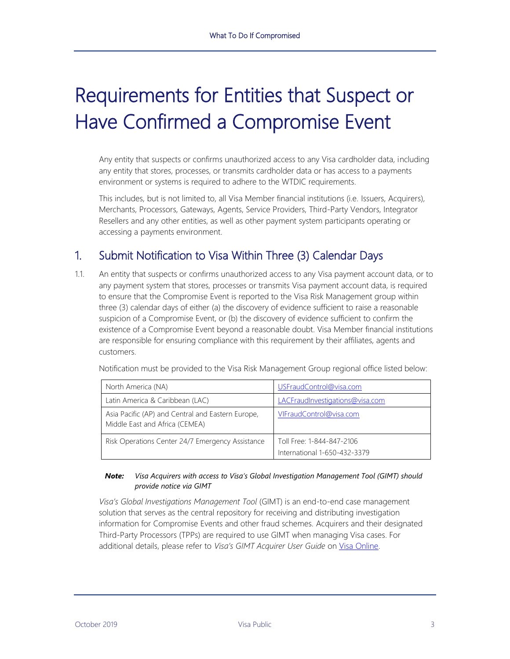# <span id="page-4-0"></span>Requirements for Entities that Suspect or Have Confirmed a Compromise Event

Any entity that suspects or confirms unauthorized access to any Visa cardholder data, including any entity that stores, processes, or transmits cardholder data or has access to a payments environment or systems is required to adhere to the WTDIC requirements.

This includes, but is not limited to, all Visa Member financial institutions (i.e. Issuers, Acquirers), Merchants, Processors, Gateways, Agents, Service Providers, Third-Party Vendors, Integrator Resellers and any other entities, as well as other payment system participants operating or accessing a payments environment.

# <span id="page-4-1"></span>1. Submit Notification to Visa Within Three (3) Calendar Days

1.1. An entity that suspects or confirms unauthorized access to any Visa payment account data, or to any payment system that stores, processes or transmits Visa payment account data, is required to ensure that the Compromise Event is reported to the Visa Risk Management group within three (3) calendar days of either (a) the discovery of evidence sufficient to raise a reasonable suspicion of a Compromise Event, or (b) the discovery of evidence sufficient to confirm the existence of a Compromise Event beyond a reasonable doubt. Visa Member financial institutions are responsible for ensuring compliance with this requirement by their affiliates, agents and customers.

| Notification must be provided to the Visa Risk Management Group regional office listed below: |  |  |  |
|-----------------------------------------------------------------------------------------------|--|--|--|
|                                                                                               |  |  |  |
|                                                                                               |  |  |  |

| North America (NA)                                                                  | USFraudControl@visa.com                                   |
|-------------------------------------------------------------------------------------|-----------------------------------------------------------|
| Latin America & Caribbean (LAC)                                                     | LACFraudInvestigations@visa.com                           |
| Asia Pacific (AP) and Central and Eastern Europe,<br>Middle East and Africa (CEMEA) | VIFraudControl@visa.com                                   |
| Risk Operations Center 24/7 Emergency Assistance                                    | Toll Free: 1-844-847-2106<br>International 1-650-432-3379 |

#### *Note: Visa Acquirers with access to Visa's Global Investigation Management Tool (GIMT) should provide notice via GIMT*

*Visa's Global Investigations Management Tool* (GIMT) is an end-to-end case management solution that serves as the central repository for receiving and distributing investigation information for Compromise Events and other fraud schemes. Acquirers and their designated Third-Party Processors (TPPs) are required to use GIMT when managing Visa cases. For additional details, please refer to *Visa's GIMT Acquirer User Guide* on [Visa Online.](https://www.visaonline.com/login/LoginMain.aspx?goto=https%3A%2F%2Fsecure.visaonline.com%2F)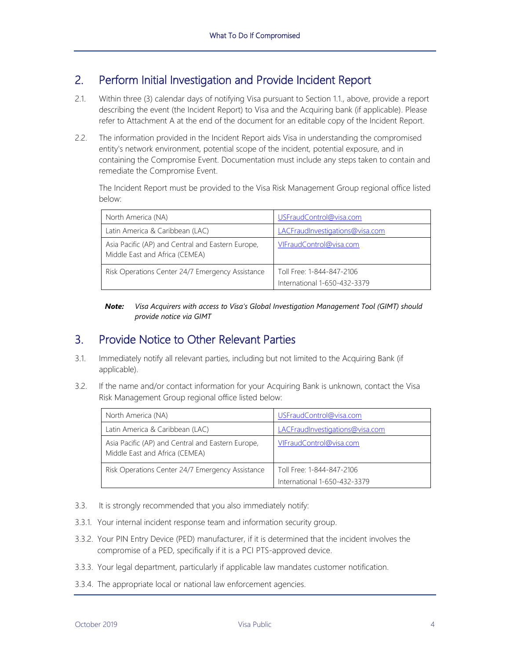### <span id="page-5-0"></span>2. Perform Initial Investigation and Provide Incident Report

- 2.1. Within three (3) calendar days of notifying Visa pursuant to Section 1.1., above, provide a report describing the event (the Incident Report) to Visa and the Acquiring bank (if applicable). Please refer to Attachment A at the end of the document for an editable copy of the Incident Report.
- 2.2. The information provided in the Incident Report aids Visa in understanding the compromised entity's network environment, potential scope of the incident, potential exposure, and in containing the Compromise Event. Documentation must include any steps taken to contain and remediate the Compromise Event.

The Incident Report must be provided to the Visa Risk Management Group regional office listed below:

| North America (NA)                                                                  | USFraudControl@visa.com                                   |
|-------------------------------------------------------------------------------------|-----------------------------------------------------------|
| Latin America & Caribbean (LAC)                                                     | LACFraudInvestigations@visa.com                           |
| Asia Pacific (AP) and Central and Eastern Europe,<br>Middle East and Africa (CEMEA) | VIFraudControl@visa.com                                   |
| Risk Operations Center 24/7 Emergency Assistance                                    | Toll Free: 1-844-847-2106<br>International 1-650-432-3379 |

*Note: Visa Acquirers with access to Visa's Global Investigation Management Tool (GIMT) should provide notice via GIMT*

#### <span id="page-5-1"></span>3. Provide Notice to Other Relevant Parties

- 3.1. Immediately notify all relevant parties, including but not limited to the Acquiring Bank (if applicable).
- 3.2. If the name and/or contact information for your Acquiring Bank is unknown, contact the Visa Risk Management Group regional office listed below:

| North America (NA)                                                                  | USFraudControl@visa.com         |
|-------------------------------------------------------------------------------------|---------------------------------|
| Latin America & Caribbean (LAC)                                                     | LACFraudInvestigations@visa.com |
| Asia Pacific (AP) and Central and Eastern Europe,<br>Middle East and Africa (CEMEA) | VIFraudControl@visa.com         |
| Risk Operations Center 24/7 Emergency Assistance                                    | Toll Free: 1-844-847-2106       |
|                                                                                     | International 1-650-432-3379    |

- 3.3. It is strongly recommended that you also immediately notify:
- 3.3.1. Your internal incident response team and information security group.
- 3.3.2. Your PIN Entry Device (PED) manufacturer, if it is determined that the incident involves the compromise of a PED, specifically if it is a PCI PTS-approved device.
- 3.3.3. Your legal department, particularly if applicable law mandates customer notification.
- 3.3.4. The appropriate local or national law enforcement agencies.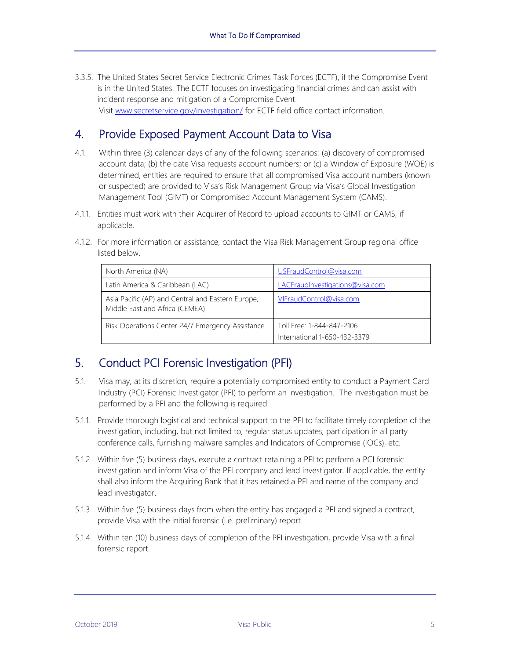3.3.5. The United States Secret Service Electronic Crimes Task Forces (ECTF), if the Compromise Event is in the United States. The ECTF focuses on investigating financial crimes and can assist with incident response and mitigation of a Compromise Event. Visit [www.secretservice.gov/investigation/](https://www.secretservice.gov/investigation/) for ECTF field office contact information.

# <span id="page-6-0"></span>4. Provide Exposed Payment Account Data to Visa

- 4.1. Within three (3) calendar days of any of the following scenarios: (a) discovery of compromised account data; (b) the date Visa requests account numbers; or (c) a Window of Exposure (WOE) is determined, entities are required to ensure that all compromised Visa account numbers (known or suspected) are provided to Visa's Risk Management Group via Visa's Global Investigation Management Tool (GIMT) or Compromised Account Management System (CAMS).
- 4.1.1. Entities must work with their Acquirer of Record to upload accounts to GIMT or CAMS, if applicable.
- 4.1.2. For more information or assistance, contact the Visa Risk Management Group regional office listed below.

| North America (NA)                                                                  | USFraudControl@visa.com                                   |
|-------------------------------------------------------------------------------------|-----------------------------------------------------------|
| Latin America & Caribbean (LAC)                                                     | LACFraudInvestigations@visa.com                           |
| Asia Pacific (AP) and Central and Eastern Europe,<br>Middle East and Africa (CEMEA) | VIFraudControl@visa.com                                   |
| Risk Operations Center 24/7 Emergency Assistance                                    | Toll Free: 1-844-847-2106<br>International 1-650-432-3379 |

# <span id="page-6-1"></span>5. Conduct PCI Forensic Investigation (PFI)

- 5.1. Visa may, at its discretion, require a potentially compromised entity to conduct a Payment Card Industry (PCI) Forensic Investigator (PFI) to perform an investigation. The investigation must be performed by a PFI and the following is required:
- 5.1.1. Provide thorough logistical and technical support to the PFI to facilitate timely completion of the investigation, including, but not limited to, regular status updates, participation in all party conference calls, furnishing malware samples and Indicators of Compromise (IOCs), etc.
- 5.1.2. Within five (5) business days, execute a contract retaining a PFI to perform a PCI forensic investigation and inform Visa of the PFI company and lead investigator. If applicable, the entity shall also inform the Acquiring Bank that it has retained a PFI and name of the company and lead investigator.
- 5.1.3. Within five (5) business days from when the entity has engaged a PFI and signed a contract, provide Visa with the initial forensic (i.e. preliminary) report.
- 5.1.4. Within ten (10) business days of completion of the PFI investigation, provide Visa with a final forensic report.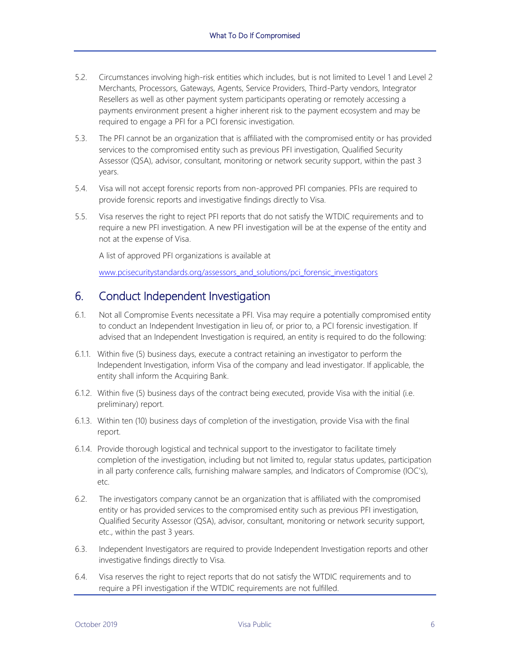- 5.2. Circumstances involving high-risk entities which includes, but is not limited to Level 1 and Level 2 Merchants, Processors, Gateways, Agents, Service Providers, Third-Party vendors, Integrator Resellers as well as other payment system participants operating or remotely accessing a payments environment present a higher inherent risk to the payment ecosystem and may be required to engage a PFI for a PCI forensic investigation.
- 5.3. The PFI cannot be an organization that is affiliated with the compromised entity or has provided services to the compromised entity such as previous PFI investigation, Qualified Security Assessor (QSA), advisor, consultant, monitoring or network security support, within the past 3 years.
- 5.4. Visa will not accept forensic reports from non-approved PFI companies. PFIs are required to provide forensic reports and investigative findings directly to Visa.
- 5.5. Visa reserves the right to reject PFI reports that do not satisfy the WTDIC requirements and to require a new PFI investigation. A new PFI investigation will be at the expense of the entity and not at the expense of Visa.

A list of approved PFI organizations is available at

[www.pcisecuritystandards.org/assessors\\_and\\_solutions/pci\\_forensic\\_investigators](http://www.pcisecuritystandards.org/assessors_and_solutions/pci_forensic_investigators)

### <span id="page-7-0"></span>6. Conduct Independent Investigation

- 6.1. Not all Compromise Events necessitate a PFI. Visa may require a potentially compromised entity to conduct an Independent Investigation in lieu of, or prior to, a PCI forensic investigation. If advised that an Independent Investigation is required, an entity is required to do the following:
- 6.1.1. Within five (5) business days, execute a contract retaining an investigator to perform the Independent Investigation, inform Visa of the company and lead investigator. If applicable, the entity shall inform the Acquiring Bank.
- 6.1.2. Within five (5) business days of the contract being executed, provide Visa with the initial (i.e. preliminary) report.
- 6.1.3. Within ten (10) business days of completion of the investigation, provide Visa with the final report.
- 6.1.4. Provide thorough logistical and technical support to the investigator to facilitate timely completion of the investigation, including but not limited to, regular status updates, participation in all party conference calls, furnishing malware samples, and Indicators of Compromise (IOC's), etc.
- 6.2. The investigators company cannot be an organization that is affiliated with the compromised entity or has provided services to the compromised entity such as previous PFI investigation, Qualified Security Assessor (QSA), advisor, consultant, monitoring or network security support, etc., within the past 3 years.
- 6.3. Independent Investigators are required to provide Independent Investigation reports and other investigative findings directly to Visa.
- 6.4. Visa reserves the right to reject reports that do not satisfy the WTDIC requirements and to require a PFI investigation if the WTDIC requirements are not fulfilled.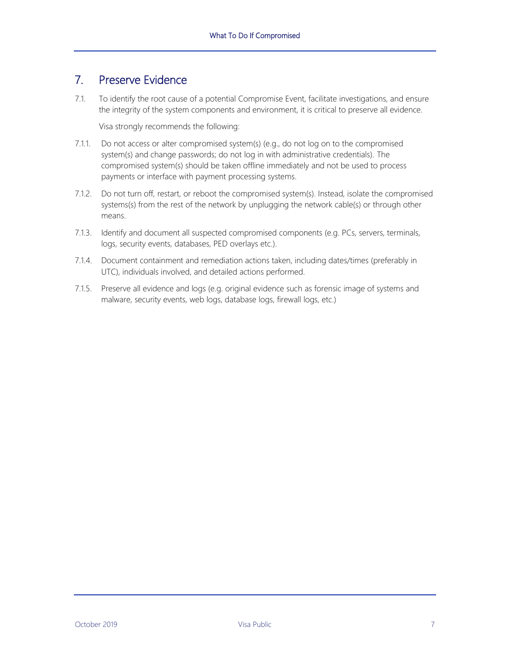### <span id="page-8-0"></span>7. Preserve Evidence

7.1. To identify the root cause of a potential Compromise Event, facilitate investigations, and ensure the integrity of the system components and environment, it is critical to preserve all evidence.

Visa strongly recommends the following:

- 7.1.1. Do not access or alter compromised system(s) (e.g., do not log on to the compromised system(s) and change passwords; do not log in with administrative credentials). The compromised system(s) should be taken offline immediately and not be used to process payments or interface with payment processing systems.
- 7.1.2. Do not turn off, restart, or reboot the compromised system(s). Instead, isolate the compromised systems(s) from the rest of the network by unplugging the network cable(s) or through other means.
- 7.1.3. Identify and document all suspected compromised components (e.g. PCs, servers, terminals, logs, security events, databases, PED overlays etc.).
- 7.1.4. Document containment and remediation actions taken, including dates/times (preferably in UTC), individuals involved, and detailed actions performed.
- 7.1.5. Preserve all evidence and logs (e.g. original evidence such as forensic image of systems and malware, security events, web logs, database logs, firewall logs, etc.)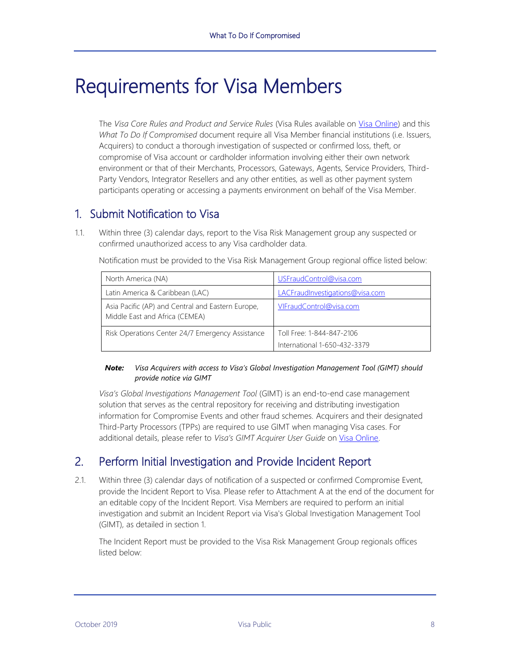# <span id="page-9-0"></span>Requirements for Visa Members

The *Visa Core Rules and Product and Service Rules* (Visa Rules available on [Visa Online\)](https://www.visaonline.com/login/LoginMain.aspx?goto=https%3A%2F%2Fsecure.visaonline.com%2F) and this *What To Do If Compromised* document require all Visa Member financial institutions (i.e. Issuers, Acquirers) to conduct a thorough investigation of suspected or confirmed loss, theft, or compromise of Visa account or cardholder information involving either their own network environment or that of their Merchants, Processors, Gateways, Agents, Service Providers, Third-Party Vendors, Integrator Resellers and any other entities, as well as other payment system participants operating or accessing a payments environment on behalf of the Visa Member.

# <span id="page-9-1"></span>1. Submit Notification to Visa

1.1. Within three (3) calendar days, report to the Visa Risk Management group any suspected or confirmed unauthorized access to any Visa cardholder data.

| North America (NA)                                                                  | USFraudControl@visa.com                                   |
|-------------------------------------------------------------------------------------|-----------------------------------------------------------|
| Latin America & Caribbean (LAC)                                                     | LACFraudInvestigations@visa.com                           |
| Asia Pacific (AP) and Central and Eastern Europe,<br>Middle East and Africa (CEMEA) | VIFraudControl@visa.com                                   |
| Risk Operations Center 24/7 Emergency Assistance                                    | Toll Free: 1-844-847-2106<br>International 1-650-432-3379 |

Notification must be provided to the Visa Risk Management Group regional office listed below:

#### *Note: Visa Acquirers with access to Visa's Global Investigation Management Tool (GIMT) should provide notice via GIMT*

*Visa's Global Investigations Management Tool* (GIMT) is an end-to-end case management solution that serves as the central repository for receiving and distributing investigation information for Compromise Events and other fraud schemes. Acquirers and their designated Third-Party Processors (TPPs) are required to use GIMT when managing Visa cases. For additional details, please refer to *Visa's GIMT Acquirer User Guide* on [Visa Online.](https://www.visaonline.com/login/LoginMain.aspx?goto=https%3A%2F%2Fsecure.visaonline.com%2F)

# <span id="page-9-2"></span>2. Perform Initial Investigation and Provide Incident Report

2.1. Within three (3) calendar days of notification of a suspected or confirmed Compromise Event, provide the Incident Report to Visa. Please refer to Attachment A at the end of the document for an editable copy of the Incident Report. Visa Members are required to perform an initial investigation and submit an Incident Report via Visa's Global Investigation Management Tool (GIMT), as detailed in section 1.

The Incident Report must be provided to the Visa Risk Management Group regionals offices listed below: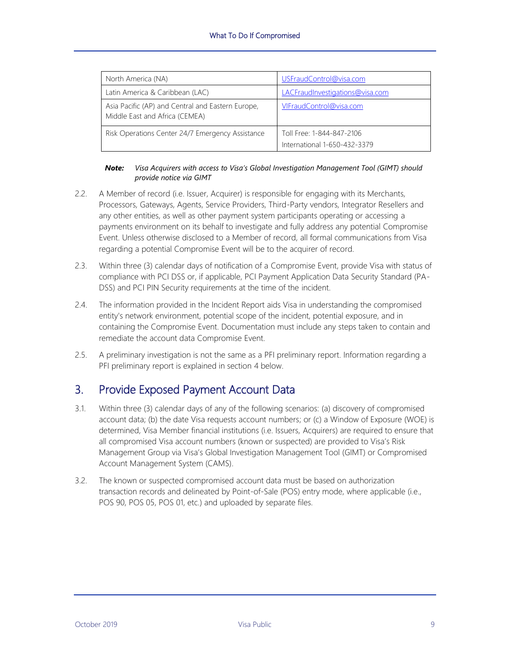| North America (NA)                                                                  | USFraudControl@visa.com                                   |
|-------------------------------------------------------------------------------------|-----------------------------------------------------------|
| Latin America & Caribbean (LAC)                                                     | LACFraudInvestigations@visa.com                           |
| Asia Pacific (AP) and Central and Eastern Europe,<br>Middle East and Africa (CEMEA) | VIFraudControl@visa.com                                   |
| Risk Operations Center 24/7 Emergency Assistance                                    | Toll Free: 1-844-847-2106<br>International 1-650-432-3379 |

#### *Note: Visa Acquirers with access to Visa's Global Investigation Management Tool (GIMT) should provide notice via GIMT*

- 2.2. A Member of record (i.e. Issuer, Acquirer) is responsible for engaging with its Merchants, Processors, Gateways, Agents, Service Providers, Third-Party vendors, Integrator Resellers and any other entities, as well as other payment system participants operating or accessing a payments environment on its behalf to investigate and fully address any potential Compromise Event. Unless otherwise disclosed to a Member of record, all formal communications from Visa regarding a potential Compromise Event will be to the acquirer of record.
- 2.3. Within three (3) calendar days of notification of a Compromise Event, provide Visa with status of compliance with PCI DSS or, if applicable, PCI Payment Application Data Security Standard (PA-DSS) and PCI PIN Security requirements at the time of the incident.
- 2.4. The information provided in the Incident Report aids Visa in understanding the compromised entity's network environment, potential scope of the incident, potential exposure, and in containing the Compromise Event. Documentation must include any steps taken to contain and remediate the account data Compromise Event.
- 2.5. A preliminary investigation is not the same as a PFI preliminary report. Information regarding a PFI preliminary report is explained in section 4 below.

#### <span id="page-10-0"></span>3. Provide Exposed Payment Account Data

- 3.1. Within three (3) calendar days of any of the following scenarios: (a) discovery of compromised account data; (b) the date Visa requests account numbers; or (c) a Window of Exposure (WOE) is determined, Visa Member financial institutions (i.e. Issuers, Acquirers) are required to ensure that all compromised Visa account numbers (known or suspected) are provided to Visa's Risk Management Group via Visa's Global Investigation Management Tool (GIMT) or Compromised Account Management System (CAMS).
- 3.2. The known or suspected compromised account data must be based on authorization transaction records and delineated by Point-of-Sale (POS) entry mode, where applicable (i.e., POS 90, POS 05, POS 01, etc.) and uploaded by separate files.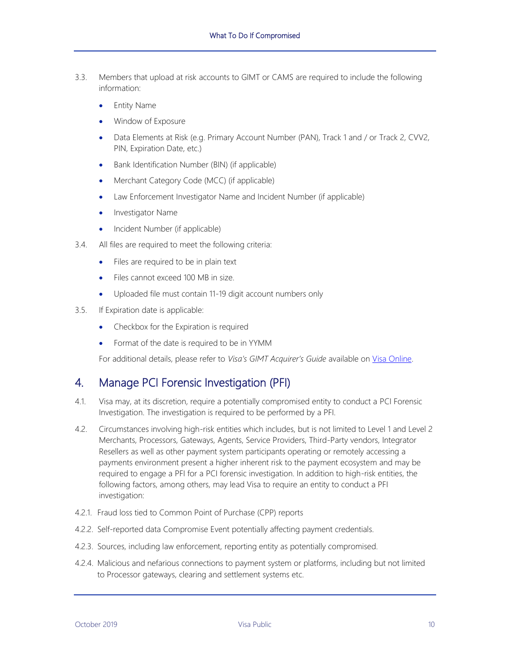- 3.3. Members that upload at risk accounts to GIMT or CAMS are required to include the following information:
	- Entity Name
	- Window of Exposure
	- Data Elements at Risk (e.g. Primary Account Number (PAN), Track 1 and / or Track 2, CVV2, PIN, Expiration Date, etc.)
	- Bank Identification Number (BIN) (if applicable)
	- Merchant Category Code (MCC) (if applicable)
	- Law Enforcement Investigator Name and Incident Number (if applicable)
	- Investigator Name
	- Incident Number (if applicable)
- 3.4. All files are required to meet the following criteria:
	- Files are required to be in plain text
	- Files cannot exceed 100 MB in size.
	- Uploaded file must contain 11-19 digit account numbers only
- 3.5. If Expiration date is applicable:
	- Checkbox for the Expiration is required
	- Format of the date is required to be in YYMM

For additional details, please refer to *Visa's GIMT Acquirer's Guide* available on [Visa Online.](https://www.visaonline.com/login/LoginMain.aspx?goto=https%3A%2F%2Fsecure.visaonline.com%2F) 

#### <span id="page-11-0"></span>4. Manage PCI Forensic Investigation (PFI)

- 4.1. Visa may, at its discretion, require a potentially compromised entity to conduct a PCI Forensic Investigation. The investigation is required to be performed by a PFI.
- 4.2. Circumstances involving high-risk entities which includes, but is not limited to Level 1 and Level 2 Merchants, Processors, Gateways, Agents, Service Providers, Third-Party vendors, Integrator Resellers as well as other payment system participants operating or remotely accessing a payments environment present a higher inherent risk to the payment ecosystem and may be required to engage a PFI for a PCI forensic investigation. In addition to high-risk entities, the following factors, among others, may lead Visa to require an entity to conduct a PFI investigation:
- 4.2.1. Fraud loss tied to Common Point of Purchase (CPP) reports
- 4.2.2. Self-reported data Compromise Event potentially affecting payment credentials.
- 4.2.3. Sources, including law enforcement, reporting entity as potentially compromised.
- 4.2.4. Malicious and nefarious connections to payment system or platforms, including but not limited to Processor gateways, clearing and settlement systems etc.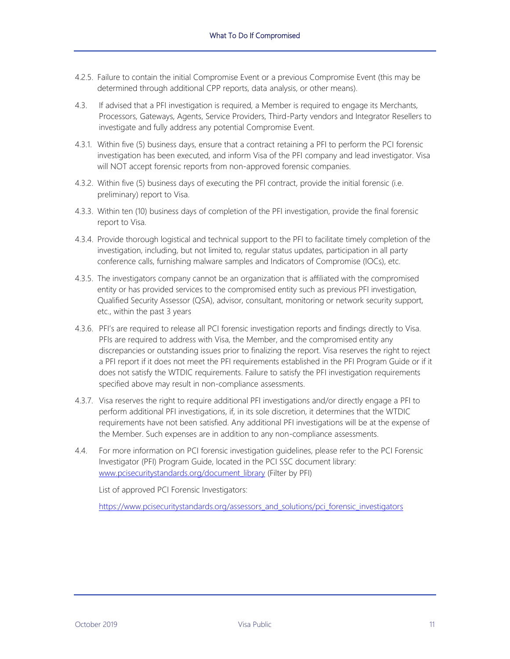- 4.2.5. Failure to contain the initial Compromise Event or a previous Compromise Event (this may be determined through additional CPP reports, data analysis, or other means).
- 4.3. If advised that a PFI investigation is required, a Member is required to engage its Merchants, Processors, Gateways, Agents, Service Providers, Third-Party vendors and Integrator Resellers to investigate and fully address any potential Compromise Event.
- 4.3.1. Within five (5) business days, ensure that a contract retaining a PFI to perform the PCI forensic investigation has been executed, and inform Visa of the PFI company and lead investigator. Visa will NOT accept forensic reports from non-approved forensic companies.
- 4.3.2. Within five (5) business days of executing the PFI contract, provide the initial forensic (i.e. preliminary) report to Visa.
- 4.3.3. Within ten (10) business days of completion of the PFI investigation, provide the final forensic report to Visa.
- 4.3.4. Provide thorough logistical and technical support to the PFI to facilitate timely completion of the investigation, including, but not limited to, regular status updates, participation in all party conference calls, furnishing malware samples and Indicators of Compromise (IOCs), etc.
- 4.3.5. The investigators company cannot be an organization that is affiliated with the compromised entity or has provided services to the compromised entity such as previous PFI investigation, Qualified Security Assessor (QSA), advisor, consultant, monitoring or network security support, etc., within the past 3 years
- 4.3.6. PFI's are required to release all PCI forensic investigation reports and findings directly to Visa. PFIs are required to address with Visa, the Member, and the compromised entity any discrepancies or outstanding issues prior to finalizing the report. Visa reserves the right to reject a PFI report if it does not meet the PFI requirements established in the PFI Program Guide or if it does not satisfy the WTDIC requirements. Failure to satisfy the PFI investigation requirements specified above may result in non-compliance assessments.
- 4.3.7. Visa reserves the right to require additional PFI investigations and/or directly engage a PFI to perform additional PFI investigations, if, in its sole discretion, it determines that the WTDIC requirements have not been satisfied. Any additional PFI investigations will be at the expense of the Member. Such expenses are in addition to any non-compliance assessments.
- 4.4. For more information on PCI forensic investigation guidelines, please refer to the PCI Forensic Investigator (PFI) Program Guide, located in the PCI SSC document library: [www.pcisecuritystandards.org/document\\_library](https://www.pcisecuritystandards.org/document_library) (Filter by PFI)

List of approved PCI Forensic Investigators:

[https://www.pcisecuritystandards.org/assessors\\_and\\_solutions/pci\\_forensic\\_investigators](https://www.pcisecuritystandards.org/assessors_and_solutions/pci_forensic_investigators)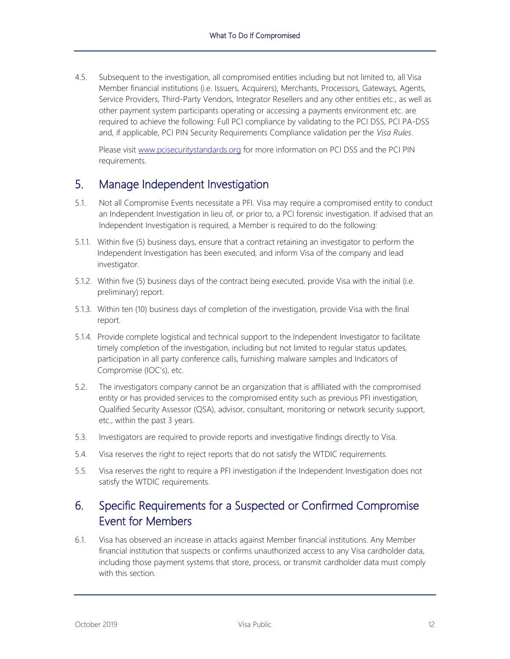4.5. Subsequent to the investigation, all compromised entities including but not limited to, all Visa Member financial institutions (i.e. Issuers, Acquirers), Merchants, Processors, Gateways, Agents, Service Providers, Third-Party Vendors, Integrator Resellers and any other entities etc., as well as other payment system participants operating or accessing a payments environment etc. are required to achieve the following: Full PCI compliance by validating to the PCI DSS, PCI PA-DSS and, if applicable, PCI PIN Security Requirements Compliance validation per the *Visa Rules*.

Please visit [www.pcisecuritystandards.org](https://www.pcisecuritystandards.org/) for more information on PCI DSS and the PCI PIN requirements.

#### <span id="page-13-0"></span>5. Manage Independent Investigation

- 5.1. Not all Compromise Events necessitate a PFI. Visa may require a compromised entity to conduct an Independent Investigation in lieu of, or prior to, a PCI forensic investigation. If advised that an Independent Investigation is required, a Member is required to do the following:
- 5.1.1. Within five (5) business days, ensure that a contract retaining an investigator to perform the Independent Investigation has been executed, and inform Visa of the company and lead investigator.
- 5.1.2. Within five (5) business days of the contract being executed, provide Visa with the initial (i.e. preliminary) report.
- 5.1.3. Within ten (10) business days of completion of the investigation, provide Visa with the final report.
- 5.1.4. Provide complete logistical and technical support to the Independent Investigator to facilitate timely completion of the investigation, including but not limited to regular status updates, participation in all party conference calls, furnishing malware samples and Indicators of Compromise (IOC's), etc.
- 5.2. The investigators company cannot be an organization that is affiliated with the compromised entity or has provided services to the compromised entity such as previous PFI investigation, Qualified Security Assessor (QSA), advisor, consultant, monitoring or network security support, etc., within the past 3 years.
- 5.3. Investigators are required to provide reports and investigative findings directly to Visa.
- 5.4. Visa reserves the right to reject reports that do not satisfy the WTDIC requirements.
- 5.5. Visa reserves the right to require a PFI investigation if the Independent Investigation does not satisfy the WTDIC requirements.

# <span id="page-13-1"></span>6. Specific Requirements for a Suspected or Confirmed Compromise Event for Members

6.1. Visa has observed an increase in attacks against Member financial institutions. Any Member financial institution that suspects or confirms unauthorized access to any Visa cardholder data, including those payment systems that store, process, or transmit cardholder data must comply with this section.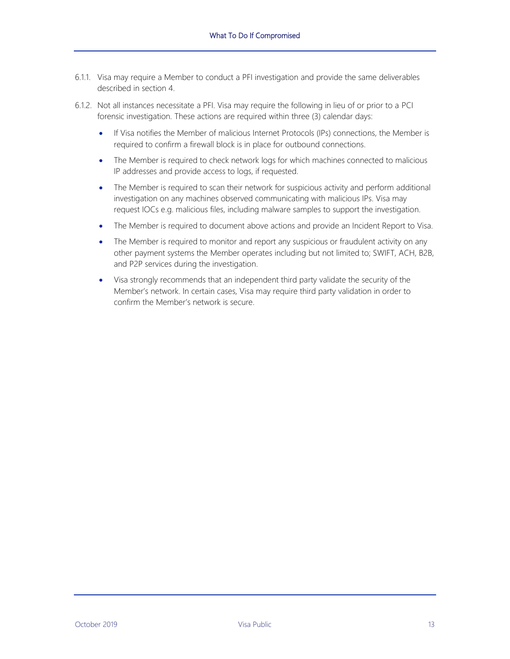- 6.1.1. Visa may require a Member to conduct a PFI investigation and provide the same deliverables described in section [4.](#page-11-0)
- 6.1.2. Not all instances necessitate a PFI. Visa may require the following in lieu of or prior to a PCI forensic investigation. These actions are required within three (3) calendar days:
	- If Visa notifies the Member of malicious Internet Protocols (IPs) connections, the Member is required to confirm a firewall block is in place for outbound connections.
	- The Member is required to check network logs for which machines connected to malicious IP addresses and provide access to logs, if requested.
	- The Member is required to scan their network for suspicious activity and perform additional investigation on any machines observed communicating with malicious IPs. Visa may request IOCs e.g. malicious files, including malware samples to support the investigation.
	- The Member is required to document above actions and provide an Incident Report to Visa.
	- The Member is required to monitor and report any suspicious or fraudulent activity on any other payment systems the Member operates including but not limited to; SWIFT, ACH, B2B, and P2P services during the investigation.
	- Visa strongly recommends that an independent third party validate the security of the Member's network. In certain cases, Visa may require third party validation in order to confirm the Member's network is secure.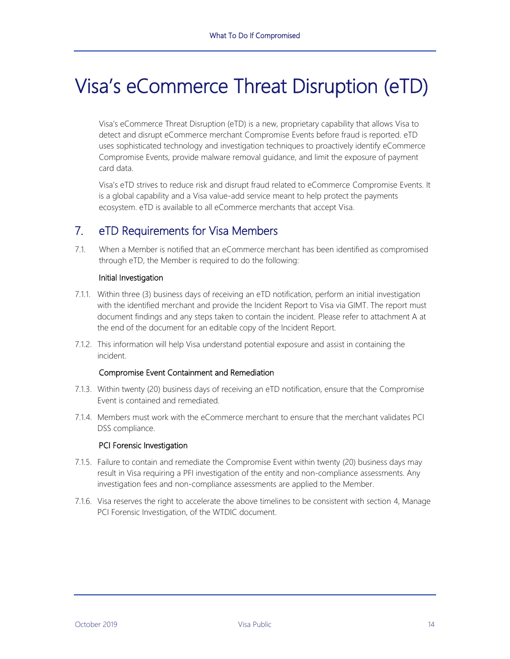# <span id="page-15-0"></span>Visa's eCommerce Threat Disruption (eTD)

Visa's eCommerce Threat Disruption (eTD) is a new, proprietary capability that allows Visa to detect and disrupt eCommerce merchant Compromise Events before fraud is reported. eTD uses sophisticated technology and investigation techniques to proactively identify eCommerce Compromise Events, provide malware removal guidance, and limit the exposure of payment card data.

Visa's eTD strives to reduce risk and disrupt fraud related to eCommerce Compromise Events. It is a global capability and a Visa value-add service meant to help protect the payments ecosystem. eTD is available to all eCommerce merchants that accept Visa.

# <span id="page-15-1"></span>7. eTD Requirements for Visa Members

7.1. When a Member is notified that an eCommerce merchant has been identified as compromised through eTD, the Member is required to do the following:

#### Initial Investigation

- 7.1.1. Within three (3) business days of receiving an eTD notification, perform an initial investigation with the identified merchant and provide the Incident Report to Visa via GIMT. The report must document findings and any steps taken to contain the incident. Please refer to attachment A at the end of the document for an editable copy of the Incident Report.
- 7.1.2. This information will help Visa understand potential exposure and assist in containing the incident.

#### Compromise Event Containment and Remediation

- 7.1.3. Within twenty (20) business days of receiving an eTD notification, ensure that the Compromise Event is contained and remediated.
- 7.1.4. Members must work with the eCommerce merchant to ensure that the merchant validates PCI DSS compliance.

#### PCI Forensic Investigation

- 7.1.5. Failure to contain and remediate the Compromise Event within twenty (20) business days may result in Visa requiring a PFI investigation of the entity and non-compliance assessments. Any investigation fees and non-compliance assessments are applied to the Member.
- 7.1.6. Visa reserves the right to accelerate the above timelines to be consistent with section 4, Manage PCI Forensic Investigation, of the WTDIC document.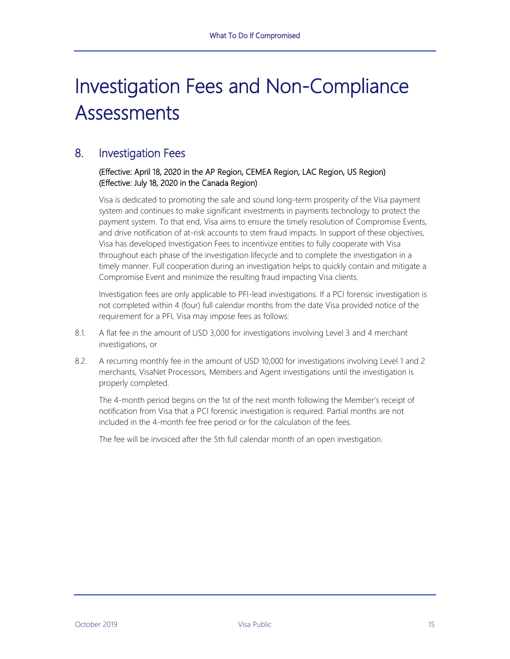# <span id="page-16-0"></span>Investigation Fees and Non-Compliance **Assessments**

### <span id="page-16-1"></span>8. Investigation Fees

#### (Effective: April 18, 2020 in the AP Region, CEMEA Region, LAC Region, US Region) (Effective: July 18, 2020 in the Canada Region)

Visa is dedicated to promoting the safe and sound long-term prosperity of the Visa payment system and continues to make significant investments in payments technology to protect the payment system. To that end, Visa aims to ensure the timely resolution of Compromise Events, and drive notification of at-risk accounts to stem fraud impacts. In support of these objectives, Visa has developed Investigation Fees to incentivize entities to fully cooperate with Visa throughout each phase of the investigation lifecycle and to complete the investigation in a timely manner. Full cooperation during an investigation helps to quickly contain and mitigate a Compromise Event and minimize the resulting fraud impacting Visa clients.

Investigation fees are only applicable to PFI-lead investigations. If a PCI forensic investigation is not completed within 4 (four) full calendar months from the date Visa provided notice of the requirement for a PFI, Visa may impose fees as follows:

- 8.1. A flat fee in the amount of USD 3,000 for investigations involving Level 3 and 4 merchant investigations, or
- 8.2. A recurring monthly fee in the amount of USD 10,000 for investigations involving Level 1 and 2 merchants, VisaNet Processors, Members and Agent investigations until the investigation is properly completed.

The 4-month period begins on the 1st of the next month following the Member's receipt of notification from Visa that a PCI forensic investigation is required. Partial months are not included in the 4-month fee free period or for the calculation of the fees.

The fee will be invoiced after the 5th full calendar month of an open investigation.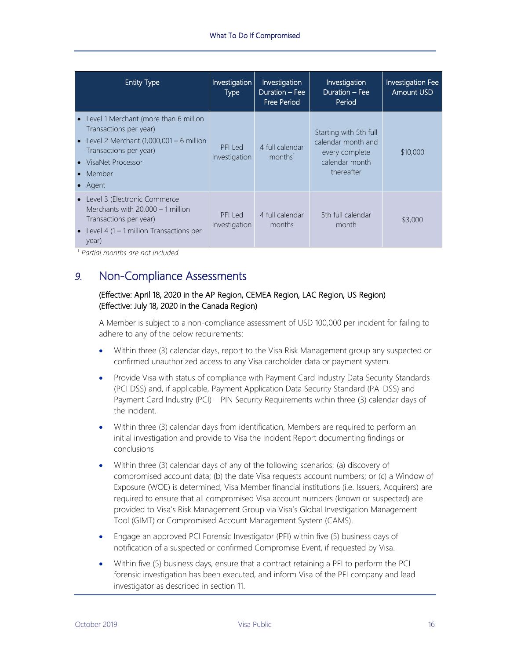| <b>Entity Type</b>                                                                                                                                                                             | Investigation<br><b>Type</b> | Investigation<br>Duration - Fee<br><b>Free Period</b> | Investigation<br>Duration - Fee<br>Period                                                      | Investigation Fee<br><b>Amount USD</b> |
|------------------------------------------------------------------------------------------------------------------------------------------------------------------------------------------------|------------------------------|-------------------------------------------------------|------------------------------------------------------------------------------------------------|----------------------------------------|
| • Level 1 Merchant (more than 6 million<br>Transactions per year)<br>• Level 2 Merchant $(1,000,001 - 6$ million<br>Transactions per year)<br>• VisaNet Processor<br>$\bullet$ Member<br>Agent | PFI Led<br>Investigation     | 4 full calendar<br>months <sup>1</sup>                | Starting with 5th full<br>calendar month and<br>every complete<br>calendar month<br>thereafter | \$10,000                               |
| • Level 3 (Electronic Commerce<br>Merchants with $20,000 - 1$ million<br>Transactions per year)<br>• Level 4 $(1 - 1$ million Transactions per<br>year)                                        | PFI Led<br>Investigation     | 4 full calendar<br>months                             | 5th full calendar<br>month                                                                     | \$3,000                                |

<span id="page-17-0"></span>*<sup>1</sup> Partial months are not included.*

### *9.* Non-Compliance Assessments

#### (Effective: April 18, 2020 in the AP Region, CEMEA Region, LAC Region, US Region) (Effective: July 18, 2020 in the Canada Region)

A Member is subject to a non-compliance assessment of USD 100,000 per incident for failing to adhere to any of the below requirements:

- Within three (3) calendar days, report to the Visa Risk Management group any suspected or confirmed unauthorized access to any Visa cardholder data or payment system.
- Provide Visa with status of compliance with Payment Card Industry Data Security Standards (PCI DSS) and, if applicable, Payment Application Data Security Standard (PA-DSS) and Payment Card Industry (PCI) – PIN Security Requirements within three (3) calendar days of the incident.
- Within three (3) calendar days from identification, Members are required to perform an initial investigation and provide to Visa the Incident Report documenting findings or conclusions
- Within three (3) calendar days of any of the following scenarios: (a) discovery of compromised account data; (b) the date Visa requests account numbers; or (c) a Window of Exposure (WOE) is determined, Visa Member financial institutions (i.e. Issuers, Acquirers) are required to ensure that all compromised Visa account numbers (known or suspected) are provided to Visa's Risk Management Group via Visa's Global Investigation Management Tool (GIMT) or Compromised Account Management System (CAMS).
- Engage an approved PCI Forensic Investigator (PFI) within five (5) business days of notification of a suspected or confirmed Compromise Event, if requested by Visa.
- Within five (5) business days, ensure that a contract retaining a PFI to perform the PCI forensic investigation has been executed, and inform Visa of the PFI company and lead investigator as described in section 11.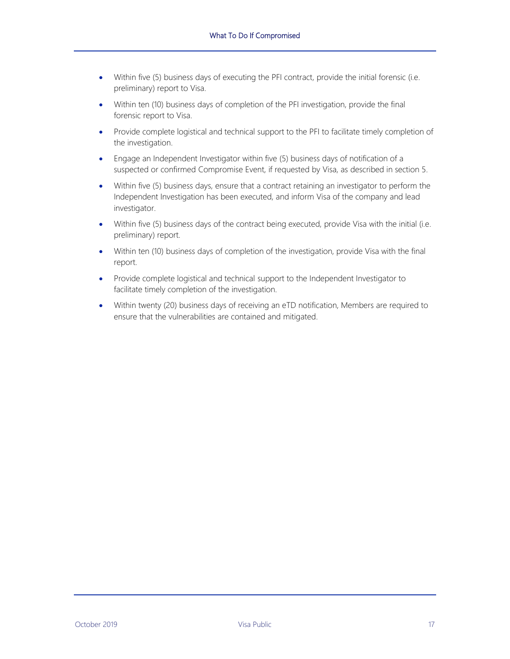- Within five (5) business days of executing the PFI contract, provide the initial forensic (i.e. preliminary) report to Visa.
- Within ten (10) business days of completion of the PFI investigation, provide the final forensic report to Visa.
- Provide complete logistical and technical support to the PFI to facilitate timely completion of the investigation.
- Engage an Independent Investigator within five (5) business days of notification of a suspected or confirmed Compromise Event, if requested by Visa, as described in section 5.
- Within five (5) business days, ensure that a contract retaining an investigator to perform the Independent Investigation has been executed, and inform Visa of the company and lead investigator.
- Within five (5) business days of the contract being executed, provide Visa with the initial (i.e. preliminary) report.
- Within ten (10) business days of completion of the investigation, provide Visa with the final report.
- Provide complete logistical and technical support to the Independent Investigator to facilitate timely completion of the investigation.
- Within twenty (20) business days of receiving an eTD notification, Members are required to ensure that the vulnerabilities are contained and mitigated.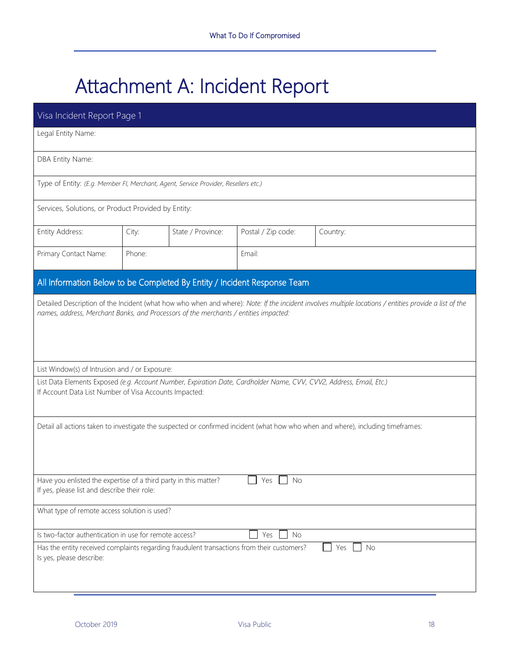# <span id="page-19-0"></span>Attachment A: Incident Report

| Visa Incident Report Page 1                                                                                                              |        |                   |                    |                                                                                                                                                        |  |  |  |  |
|------------------------------------------------------------------------------------------------------------------------------------------|--------|-------------------|--------------------|--------------------------------------------------------------------------------------------------------------------------------------------------------|--|--|--|--|
| Legal Entity Name:                                                                                                                       |        |                   |                    |                                                                                                                                                        |  |  |  |  |
| DBA Entity Name:                                                                                                                         |        |                   |                    |                                                                                                                                                        |  |  |  |  |
| Type of Entity: (E.g. Member FI, Merchant, Agent, Service Provider, Resellers etc.)                                                      |        |                   |                    |                                                                                                                                                        |  |  |  |  |
| Services, Solutions, or Product Provided by Entity:                                                                                      |        |                   |                    |                                                                                                                                                        |  |  |  |  |
| Entity Address:                                                                                                                          | City:  | State / Province: | Postal / Zip code: | Country:                                                                                                                                               |  |  |  |  |
| Primary Contact Name:                                                                                                                    | Phone: |                   | Email:             |                                                                                                                                                        |  |  |  |  |
| All Information Below to be Completed By Entity / Incident Response Team                                                                 |        |                   |                    |                                                                                                                                                        |  |  |  |  |
| names, address, Merchant Banks, and Processors of the merchants / entities impacted:                                                     |        |                   |                    | Detailed Description of the Incident (what how who when and where): Note: If the incident involves multiple locations / entities provide a list of the |  |  |  |  |
| List Window(s) of Intrusion and / or Exposure:                                                                                           |        |                   |                    |                                                                                                                                                        |  |  |  |  |
| If Account Data List Number of Visa Accounts Impacted:                                                                                   |        |                   |                    | List Data Elements Exposed (e.g. Account Number, Expiration Date, Cardholder Name, CVV, CVV2, Address, Email, Etc.)                                    |  |  |  |  |
| Detail all actions taken to investigate the suspected or confirmed incident (what how who when and where), including timeframes:         |        |                   |                    |                                                                                                                                                        |  |  |  |  |
| Have you enlisted the expertise of a third party in this matter?<br>$\Box$ Yes $\Box$ No<br>If yes, please list and describe their role: |        |                   |                    |                                                                                                                                                        |  |  |  |  |
| What type of remote access solution is used?                                                                                             |        |                   |                    |                                                                                                                                                        |  |  |  |  |
| Is two-factor authentication in use for remote access?<br><b>No</b><br>Yes                                                               |        |                   |                    |                                                                                                                                                        |  |  |  |  |
| Has the entity received complaints regarding fraudulent transactions from their customers?<br>No<br>Yes<br>Is yes, please describe:      |        |                   |                    |                                                                                                                                                        |  |  |  |  |